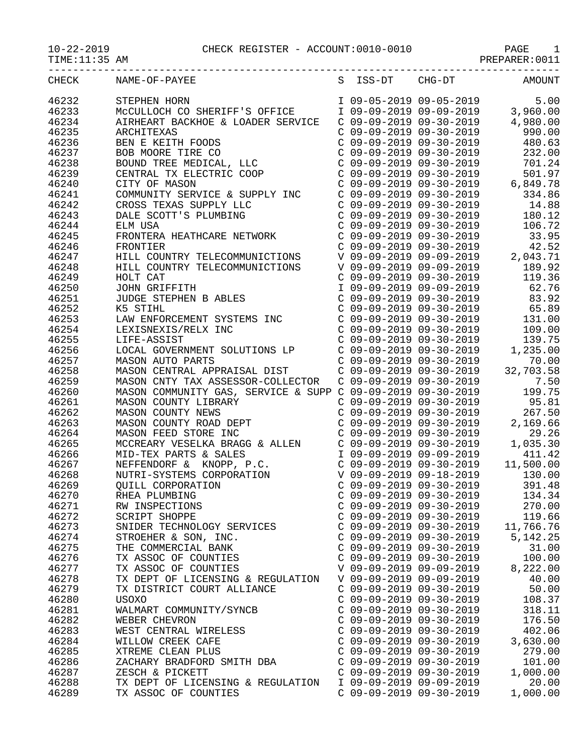PAGE 10-21-2010 CHECK REGISTER - ACCOUNT:0010-0010<br>PREPARER:0011

| $10 - 22 - 2019$ |  |
|------------------|--|
|                  |  |

 $TIME:11:35$  AM

| CHECK | NAME-OF-PAYEE                     | S ISS-DT                | CHG-DT                    | AMOUNT   |
|-------|-----------------------------------|-------------------------|---------------------------|----------|
| 46232 | STEPHEN HORN                      | I 09-05-2019 09-05-2019 |                           | 5.00     |
| 46233 | MCCULLOCH CO SHERIFF'S OFFICE     |                         | I 09-09-2019 09-09-2019   | 3,960.00 |
| 46234 | AIRHEART BACKHOE & LOADER SERVICE |                         | $C$ 09-09-2019 09-30-2019 | 4,980.00 |
| 46235 | ARCHITEXAS                        |                         | $C$ 09-09-2019 09-30-2019 | 990.00   |
| 46236 | BEN E KEITH FOODS                 |                         | $C$ 09-09-2019 09-30-2019 | 480.63   |
|       |                                   |                         |                           |          |

| 46234          | AIRHEART BACKHOE & LOADER SERVICE                                                                  |                           | $C$ 09-09-2019 09-30-2019                            | 4,980.00                                                                                                                                                                |
|----------------|----------------------------------------------------------------------------------------------------|---------------------------|------------------------------------------------------|-------------------------------------------------------------------------------------------------------------------------------------------------------------------------|
| 46235          | ARCHITEXAS                                                                                         |                           | $C$ 09-09-2019 09-30-2019                            | 990.00                                                                                                                                                                  |
| 46236          | BEN E KEITH FOODS                                                                                  |                           | C 09-09-2019 09-30-2019                              | 480.63                                                                                                                                                                  |
| 46237          |                                                                                                    |                           | C 09-09-2019 09-30-2019                              | 232.00                                                                                                                                                                  |
| 46238          | BOB MOORE TIRE CO<br>BOUND TREE MEDICAL, LLC                                                       |                           | $C$ 09-09-2019 09-30-2019                            | 701.24                                                                                                                                                                  |
| 46239          | CENTRAL TX ELECTRIC COOP                                                                           |                           | $C$ 09-09-2019 09-30-2019                            | 501.97                                                                                                                                                                  |
| 46240          | CITY OF MASON                                                                                      |                           | $C$ 09-09-2019 09-30-2019                            | 6,849.78                                                                                                                                                                |
| 46241          | COMMUNITY SERVICE & SUPPLY INC                                                                     |                           | C 09-09-2019 09-30-2019                              | 334.86                                                                                                                                                                  |
| 46242          |                                                                                                    |                           | $C$ 09-09-2019 09-30-2019                            | 14.88                                                                                                                                                                   |
| 46243          |                                                                                                    |                           | $C$ 09-09-2019 09-30-2019                            | 180.12                                                                                                                                                                  |
| 46244          | DALE SCOTT'S PLUMBING<br>ELM USA<br>ELM USA                                                        |                           | $C$ 09-09-2019 09-30-2019                            | 106.72                                                                                                                                                                  |
| 46245          | FRONTERA HEATHCARE NETWORK                                                                         |                           | $C$ 09-09-2019 09-30-2019                            | 33.95                                                                                                                                                                   |
| 46246          | FRONTIER                                                                                           |                           | $C$ 09-09-2019 09-30-2019                            | 42.52                                                                                                                                                                   |
| 46247          | HILL COUNTRY TELECOMMUNICTIONS                                                                     |                           |                                                      | V 09-09-2019 09-09-2019 2,043.71                                                                                                                                        |
| 46248          | HILL COUNTRY TELECOMMUNICTIONS                                                                     |                           | V 09-09-2019 09-09-2019                              | 189.92                                                                                                                                                                  |
| 46249          | HOLT CAT                                                                                           |                           | $C$ 09-09-2019 09-30-2019                            | 119.36                                                                                                                                                                  |
| 46250          | JOHN GRIFFITH                                                                                      |                           | I 09-09-2019 09-09-2019                              | 62.76                                                                                                                                                                   |
| 46251          | JUDGE STEPHEN B ABLES                                                                              |                           | $C$ 09-09-2019 09-30-2019                            | 83.92                                                                                                                                                                   |
| 46252          | K5 STIHL                                                                                           |                           |                                                      | $C$ 09-09-2019 09-30-2019 65.89                                                                                                                                         |
| 46253          | LAW ENFORCEMENT SYSTEMS INC                                                                        |                           | $C$ 09-09-2019 09-30-2019                            | 131.00                                                                                                                                                                  |
| 46254          | LEXISNEXIS/RELX INC                                                                                |                           | C 09-09-2019 09-30-2019                              | 109.00                                                                                                                                                                  |
| 46255          | LIFE-ASSIST                                                                                        |                           | $C$ 09-09-2019 09-30-2019                            | 139.75                                                                                                                                                                  |
| 46256          |                                                                                                    |                           | $C$ 09-09-2019 09-30-2019                            | 1,235.00                                                                                                                                                                |
| 46257          | LOCAL GOVERNMENT SOLUTIONS LP<br>mason auto parts<br>MASON AUTO PARTS                              |                           | $C$ 09-09-2019 09-30-2019                            | 70.00                                                                                                                                                                   |
| 46258          | MASON CENTRAL APPRAISAL DIST                                                                       |                           | $C$ 09-09-2019 09-30-2019                            | 32,703.58                                                                                                                                                               |
| 46259          | MASON CNTY TAX ASSESSOR-COLLECTOR                                                                  | C 09-09-2019 09-30-2019   |                                                      | 7.50                                                                                                                                                                    |
| 46260          | MASON COMMUNITY GAS, SERVICE & SUPP C 09-09-2019 09-30-2019                                        |                           |                                                      | 199.75                                                                                                                                                                  |
| 46261          | MASON COUNTY LIBRARY                                                                               |                           | $C$ 09-09-2019 09-30-2019                            | 95.81                                                                                                                                                                   |
| 46262          |                                                                                                    |                           | C 09-09-2019 09-30-2019                              | 267.50                                                                                                                                                                  |
| 46263          | MASON COUNTY NEWS<br>MASON COUNTY ROAD DEPT                                                        |                           | $C$ 09-09-2019 09-30-2019                            |                                                                                                                                                                         |
| 46264          |                                                                                                    |                           | $C$ 09-09-2019 09-30-2019                            | 2,169.66<br>29.26                                                                                                                                                       |
| 46265          | MASON FEED STORE INC<br>MCCREARY VESELKA BRAGG & ALLEN                                             |                           | C 09-09-2019 09-30-2019                              | 1,035.30                                                                                                                                                                |
|                |                                                                                                    |                           |                                                      | 411.42                                                                                                                                                                  |
| 46266<br>46267 | MID-TEX PARTS & SALES                                                                              |                           | I 09-09-2019 09-09-2019<br>$C$ 09-09-2019 09-30-2019 |                                                                                                                                                                         |
| 46268          | NEFFENDORF & KNOPP, P.C.                                                                           |                           | V 09-09-2019 09-18-2019                              | 11,500.00                                                                                                                                                               |
|                |                                                                                                    |                           |                                                      | 130.00                                                                                                                                                                  |
| 46269          | NUTRI-SYSTEMS CORPORATION<br>QUILL CORPORATION<br>RHEA PLUMBING<br>RW INSPECTIONS<br>SCRIPT SHOPPE |                           | $C$ 09-09-2019 09-30-2019                            | 391.48                                                                                                                                                                  |
| 46270          |                                                                                                    |                           | C 09-09-2019 09-30-2019                              | 134.34                                                                                                                                                                  |
| 46271          |                                                                                                    |                           |                                                      | $\left( \begin{array}{ccc} C & 09-09-2019 & 09-30-2019 & 270.00 \\ C & 09-09-2019 & 09-30-2019 & 119.66 \\ C & 09-09-2019 & 09-30-2019 & 11,766.76 \end{array} \right)$ |
| 46272          |                                                                                                    |                           |                                                      |                                                                                                                                                                         |
| 46273          | SNIDER TECHNOLOGY SERVICES                                                                         |                           |                                                      |                                                                                                                                                                         |
| 46274          | STROEHER & SON, INC.                                                                               |                           | $C$ 09-09-2019 09-30-2019                            | 5, 142. 25                                                                                                                                                              |
| 46275          | THE COMMERCIAL BANK                                                                                | C 09-09-2019 09-30-2019   |                                                      | 31.00                                                                                                                                                                   |
| 46276          | TX ASSOC OF COUNTIES                                                                               | $C$ 09-09-2019 09-30-2019 |                                                      | 100.00                                                                                                                                                                  |
| 46277          | TX ASSOC OF COUNTIES                                                                               | V 09-09-2019 09-09-2019   |                                                      | 8,222.00                                                                                                                                                                |
| 46278          | TX DEPT OF LICENSING & REGULATION                                                                  | V 09-09-2019 09-09-2019   |                                                      | 40.00                                                                                                                                                                   |
| 46279          | TX DISTRICT COURT ALLIANCE                                                                         | $C$ 09-09-2019 09-30-2019 |                                                      | 50.00                                                                                                                                                                   |
| 46280          | <b>USOXO</b>                                                                                       | $C$ 09-09-2019 09-30-2019 |                                                      | 108.37                                                                                                                                                                  |
| 46281          | WALMART COMMUNITY/SYNCB                                                                            | C 09-09-2019 09-30-2019   |                                                      | 318.11                                                                                                                                                                  |
| 46282          | WEBER CHEVRON                                                                                      | $C$ 09-09-2019 09-30-2019 |                                                      | 176.50                                                                                                                                                                  |
| 46283          | WEST CENTRAL WIRELESS                                                                              | C 09-09-2019 09-30-2019   |                                                      | 402.06                                                                                                                                                                  |
| 46284          | WILLOW CREEK CAFE                                                                                  | $C$ 09-09-2019 09-30-2019 |                                                      | 3,630.00                                                                                                                                                                |
| 46285          | XTREME CLEAN PLUS                                                                                  | $C$ 09-09-2019 09-30-2019 |                                                      | 279.00                                                                                                                                                                  |
| 46286          | ZACHARY BRADFORD SMITH DBA                                                                         | $C$ 09-09-2019 09-30-2019 |                                                      | 101.00                                                                                                                                                                  |
| 46287          | ZESCH & PICKETT                                                                                    | C 09-09-2019 09-30-2019   |                                                      | 1,000.00                                                                                                                                                                |
| 46288          | TX DEPT OF LICENSING & REGULATION                                                                  | I 09-09-2019 09-09-2019   |                                                      | 20.00                                                                                                                                                                   |
| 46289          | TX ASSOC OF COUNTIES                                                                               | C 09-09-2019 09-30-2019   |                                                      | 1,000.00                                                                                                                                                                |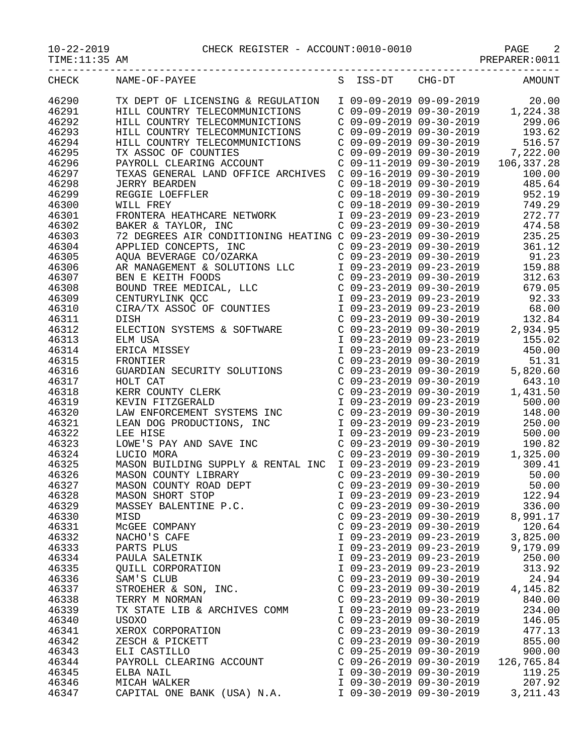10-22-2019 CHECK REGISTER - ACCOUNT:0010-0010 PAGE 2

TIME:11:35 AM PREPARER:0011

| CHECK | NAME-OF-PAYEE                                                                                                                                                                                                                           |                           |                                                                                                                                                                                                | S ISS-DT CHG-DT AMOUNT                                                                                                                                                     |
|-------|-----------------------------------------------------------------------------------------------------------------------------------------------------------------------------------------------------------------------------------------|---------------------------|------------------------------------------------------------------------------------------------------------------------------------------------------------------------------------------------|----------------------------------------------------------------------------------------------------------------------------------------------------------------------------|
| 46290 | TX DEPT OF LICENSING & REGULATION<br>HILL COUNTRY TELECOMMUNICTIONS<br>HILL COUNTRY TELECOMMUNICTIONS<br>C 09-09-2019 09-30-2019<br>C 09-09-2019 09-30-2019 299.06<br>HILL COUNTRY TELECOMMUNICTIONS<br>C 09-09-2019 09-30-2019 193.6   |                           |                                                                                                                                                                                                |                                                                                                                                                                            |
| 46291 |                                                                                                                                                                                                                                         |                           |                                                                                                                                                                                                |                                                                                                                                                                            |
| 46292 |                                                                                                                                                                                                                                         |                           |                                                                                                                                                                                                |                                                                                                                                                                            |
| 46293 |                                                                                                                                                                                                                                         |                           |                                                                                                                                                                                                |                                                                                                                                                                            |
| 46294 | HILL COUNTRY TELECOMMUNICTIONS C 09-09-2019 09-30-2019 516.57                                                                                                                                                                           |                           |                                                                                                                                                                                                |                                                                                                                                                                            |
| 46295 |                                                                                                                                                                                                                                         |                           |                                                                                                                                                                                                | C 09-09-2019 09-30-2019 7,222.00                                                                                                                                           |
| 46296 | TX ASSOC OF COUNTIES<br>PAYROLL CLEARING ACCOUNT                                                                                                                                                                                        |                           |                                                                                                                                                                                                |                                                                                                                                                                            |
|       |                                                                                                                                                                                                                                         |                           |                                                                                                                                                                                                | C 09-11-2019 09-30-2019 106,337.28<br>100.00                                                                                                                               |
| 46297 | TEXAS GENERAL LAND OFFICE ARCHIVES C 09-16-2019 09-30-2019<br>JERRY BEARDEN C 09-18-2019 09-30-2019                                                                                                                                     |                           |                                                                                                                                                                                                |                                                                                                                                                                            |
| 46298 |                                                                                                                                                                                                                                         |                           |                                                                                                                                                                                                | 485.64                                                                                                                                                                     |
| 46299 | REGGIE LOEFFLER                                                                                                                                                                                                                         |                           | $C$ 09-18-2019 09-30-2019                                                                                                                                                                      | 952.19                                                                                                                                                                     |
| 46300 | WILL FREY                                                                                                                                                                                                                               |                           | C 09-18-2019 09-30-2019                                                                                                                                                                        | 749.29                                                                                                                                                                     |
| 46301 | FRONTERA HEATHCARE NETWORK 1 09-23-2019 09-23-2019                                                                                                                                                                                      |                           |                                                                                                                                                                                                | 272.77                                                                                                                                                                     |
| 46302 | BAKER & TAYLOR, INC<br>72 DEGREES AIR CONDITIONING HEATING C 09-23-2019 09-30-2019<br>APPLIED CONCEPTS, INC<br>C 09-23-2019 09-30-2019                                                                                                  |                           |                                                                                                                                                                                                | 474.58                                                                                                                                                                     |
| 46303 |                                                                                                                                                                                                                                         |                           |                                                                                                                                                                                                | 235.25                                                                                                                                                                     |
| 46304 |                                                                                                                                                                                                                                         |                           |                                                                                                                                                                                                | 361.12                                                                                                                                                                     |
| 46305 |                                                                                                                                                                                                                                         |                           |                                                                                                                                                                                                | C 09-23-2019 09-30-2019 91.23                                                                                                                                              |
| 46306 |                                                                                                                                                                                                                                         |                           |                                                                                                                                                                                                | 159.88                                                                                                                                                                     |
| 46307 |                                                                                                                                                                                                                                         |                           |                                                                                                                                                                                                | $\begin{array}{llll} \mbox{C} & 09-23-2019 & 09-30-2019 & 312.63 \\ \mbox{C} & 09-23-2019 & 09-30-2019 & 679.05 \\ \mbox{I} & 09-23-2019 & 09-23-2019 & 92.33 \end{array}$ |
| 46308 |                                                                                                                                                                                                                                         |                           |                                                                                                                                                                                                |                                                                                                                                                                            |
| 46309 |                                                                                                                                                                                                                                         |                           |                                                                                                                                                                                                |                                                                                                                                                                            |
| 46310 | APPLIED CONCEPTS, INC<br>C 09-23-2019 09-30-2019<br>AQUA BEVERAGE CO/OZARKA<br>C 09-23-2019 09-30-2019<br>AR MANAGEMENT & SOLUTIONS LLC I 09-23-2019 09-30-2019<br>BEN E KEITH FOODS C 09-23-2019 09-30-2019<br>BOUND TREE MEDICAL, LLC |                           |                                                                                                                                                                                                | I 09-23-2019 09-23-2019 68.00                                                                                                                                              |
| 46311 |                                                                                                                                                                                                                                         |                           |                                                                                                                                                                                                |                                                                                                                                                                            |
| 46312 | DISH<br>ELECTION SYSTEMS & SOFTWARE                                                                                                                                                                                                     |                           |                                                                                                                                                                                                | C 09-23-2019 09-30-2019 132.84<br>C 09-23-2019 09-30-2019 2,934.95                                                                                                         |
| 46313 |                                                                                                                                                                                                                                         |                           |                                                                                                                                                                                                |                                                                                                                                                                            |
| 46314 |                                                                                                                                                                                                                                         |                           |                                                                                                                                                                                                |                                                                                                                                                                            |
| 46315 | ELM USA<br>ERICA MISSEY<br>ERICA MISSEY<br>FRONTIER CO9-23-2019 09-23-2019 155.02<br>FRONTIER CO9-23-2019 09-30-2019 51.31<br>GUARDIAN SECURITY SOLUTIONS CO9-23-2019 09-30-2019 5,820.60                                               |                           |                                                                                                                                                                                                |                                                                                                                                                                            |
| 46316 |                                                                                                                                                                                                                                         |                           |                                                                                                                                                                                                |                                                                                                                                                                            |
| 46317 |                                                                                                                                                                                                                                         |                           |                                                                                                                                                                                                | 643.10                                                                                                                                                                     |
| 46318 | GOARDIAN SECURIII SOLOIIONS<br>HOLT CAT<br>KERR COUNTY CLERK<br>KEVIN FITZGERALD<br>LAW ENFORCEMENT SYSTEMS INC<br>LEAN DOG PRODUCTIONS, INC<br>LEE HISE<br>LOWE'S PAY AND SAVE INC<br>LUCIO MORA                                       |                           | $\begin{array}{llll} \text{C} & 09-23-2019 & 09-30-2019 \\ \text{C} & 09-23-2019 & 09-30-2019 & 1 \\ \text{I} & 09-23-2019 & 09-23-2019 & \\ \text{C} & 09-23-2019 & 09-30-2019 & \end{array}$ | 1,431.50                                                                                                                                                                   |
| 46319 |                                                                                                                                                                                                                                         |                           |                                                                                                                                                                                                | 500.00                                                                                                                                                                     |
| 46320 |                                                                                                                                                                                                                                         |                           |                                                                                                                                                                                                | 148.00                                                                                                                                                                     |
| 46321 |                                                                                                                                                                                                                                         |                           | I 09-23-2019 09-23-2019                                                                                                                                                                        | 250.00                                                                                                                                                                     |
| 46322 |                                                                                                                                                                                                                                         |                           | I 09-23-2019 09-23-2019                                                                                                                                                                        | 500.00                                                                                                                                                                     |
| 46323 |                                                                                                                                                                                                                                         |                           |                                                                                                                                                                                                |                                                                                                                                                                            |
|       |                                                                                                                                                                                                                                         |                           |                                                                                                                                                                                                |                                                                                                                                                                            |
| 46324 | 190.82<br>LOWE'S PAY AND SAVE INC<br>LUCIO MORA<br>MASON BUILDING SUPPLY & RENTAL INC I 09-23-2019 09-30-2019<br>MASON COUNTY LIBRARY<br>C 09-23-2019 09-30-2019<br>C 09-23-2019 09-30-2019<br>C 09-23-2019 09-30-2019                  |                           |                                                                                                                                                                                                |                                                                                                                                                                            |
| 46325 |                                                                                                                                                                                                                                         |                           |                                                                                                                                                                                                |                                                                                                                                                                            |
| 46326 | MASON COUNTY LIBRARY<br>MASON COUNTY ROAD DEPT                                                                                                                                                                                          |                           |                                                                                                                                                                                                |                                                                                                                                                                            |
| 46327 |                                                                                                                                                                                                                                         |                           | $C$ 09-23-2019 09-30-2019                                                                                                                                                                      | 50.00                                                                                                                                                                      |
| 46328 | MASON SHORT STOP                                                                                                                                                                                                                        |                           | I 09-23-2019 09-23-2019                                                                                                                                                                        | 122.94                                                                                                                                                                     |
| 46329 | MASSEY BALENTINE P.C.<br>MISD                                                                                                                                                                                                           | $C$ 09-23-2019 09-30-2019 |                                                                                                                                                                                                | 336.00                                                                                                                                                                     |
| 46330 | MISD                                                                                                                                                                                                                                    | $C$ 09-23-2019 09-30-2019 |                                                                                                                                                                                                | 8,991.17                                                                                                                                                                   |
| 46331 | MCGEE COMPANY                                                                                                                                                                                                                           | $C$ 09-23-2019 09-30-2019 |                                                                                                                                                                                                | 120.64                                                                                                                                                                     |
| 46332 | NACHO'S CAFE                                                                                                                                                                                                                            | I 09-23-2019 09-23-2019   |                                                                                                                                                                                                | 3,825.00                                                                                                                                                                   |
| 46333 | PARTS PLUS                                                                                                                                                                                                                              | I 09-23-2019 09-23-2019   |                                                                                                                                                                                                | 9,179.09                                                                                                                                                                   |
| 46334 | PAULA SALETNIK                                                                                                                                                                                                                          | I 09-23-2019 09-23-2019   |                                                                                                                                                                                                | 250.00                                                                                                                                                                     |
| 46335 | <b>QUILL CORPORATION</b>                                                                                                                                                                                                                | I 09-23-2019 09-23-2019   |                                                                                                                                                                                                | 313.92                                                                                                                                                                     |
| 46336 | SAM'S CLUB                                                                                                                                                                                                                              | $C$ 09-23-2019 09-30-2019 |                                                                                                                                                                                                | 24.94                                                                                                                                                                      |
| 46337 | STROEHER & SON, INC.                                                                                                                                                                                                                    | $C$ 09-23-2019 09-30-2019 |                                                                                                                                                                                                | 4,145.82                                                                                                                                                                   |
| 46338 | TERRY M NORMAN                                                                                                                                                                                                                          | $C$ 09-23-2019 09-30-2019 |                                                                                                                                                                                                | 840.00                                                                                                                                                                     |
| 46339 | TX STATE LIB & ARCHIVES COMM                                                                                                                                                                                                            | I 09-23-2019 09-23-2019   |                                                                                                                                                                                                | 234.00                                                                                                                                                                     |
| 46340 | USOXO                                                                                                                                                                                                                                   | $C$ 09-23-2019 09-30-2019 |                                                                                                                                                                                                | 146.05                                                                                                                                                                     |
| 46341 | XEROX CORPORATION                                                                                                                                                                                                                       | $C$ 09-23-2019 09-30-2019 |                                                                                                                                                                                                | 477.13                                                                                                                                                                     |
| 46342 | ZESCH & PICKETT                                                                                                                                                                                                                         | $C$ 09-23-2019 09-30-2019 |                                                                                                                                                                                                | 855.00                                                                                                                                                                     |
| 46343 | ELI CASTILLO                                                                                                                                                                                                                            | $C$ 09-25-2019 09-30-2019 |                                                                                                                                                                                                | 900.00                                                                                                                                                                     |
| 46344 | PAYROLL CLEARING ACCOUNT                                                                                                                                                                                                                | $C$ 09-26-2019 09-30-2019 |                                                                                                                                                                                                | 126,765.84                                                                                                                                                                 |
| 46345 | ELBA NAIL                                                                                                                                                                                                                               | I 09-30-2019 09-30-2019   |                                                                                                                                                                                                | 119.25                                                                                                                                                                     |
| 46346 | MICAH WALKER                                                                                                                                                                                                                            | I 09-30-2019 09-30-2019   |                                                                                                                                                                                                | 207.92                                                                                                                                                                     |
| 46347 | CAPITAL ONE BANK (USA) N.A.                                                                                                                                                                                                             | I 09-30-2019 09-30-2019   |                                                                                                                                                                                                | 3, 211.43                                                                                                                                                                  |
|       |                                                                                                                                                                                                                                         |                           |                                                                                                                                                                                                |                                                                                                                                                                            |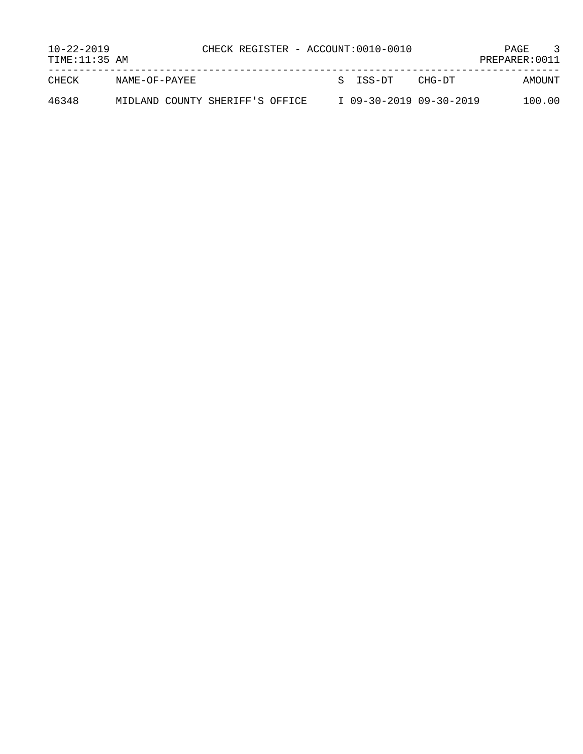| $10 - 22 - 2019$<br>TIME: 11:35 AM |                                 | CHECK REGISTER - ACCOUNT:0010-0010 |  |                         |        | $\mathbf{3}$<br>PAGE<br>PREPARER: 0011 |
|------------------------------------|---------------------------------|------------------------------------|--|-------------------------|--------|----------------------------------------|
| CHECK                              | NAME-OF-PAYEE                   |                                    |  | S TSS-DT                | CHG-DT | AMOUNT                                 |
| 46348                              | MIDLAND COUNTY SHERIFF'S OFFICE |                                    |  | I 09-30-2019 09-30-2019 |        | 100.00                                 |